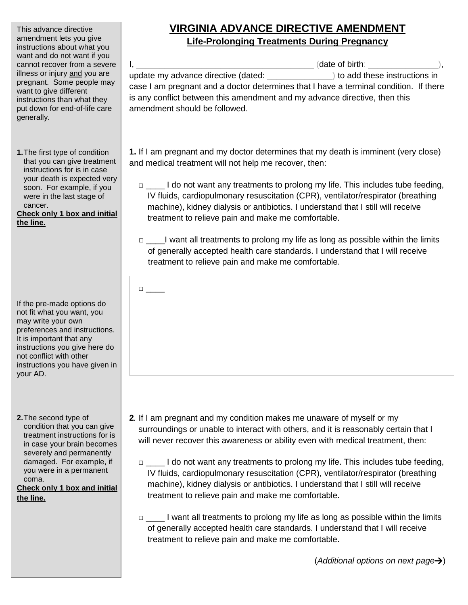This advance directive amendment lets you give instructions about what you want and do not want if you cannot recover from a severe illness or injury and you are pregnant. Some people may want to give different instructions than what they put down for end-of-life care generally.

**1.**The first type of condition that you can give treatment instructions for is in case your death is expected very soon. For example, if you were in the last stage of cancer.

**Check only 1 box and initial the line.**

If the pre-made options do not fit what you want, you may write your own preferences and instructions. It is important that any instructions you give here do not conflict with other instructions you have given in your AD.

**2.**The second type of condition that you can give treatment instructions for is in case your brain becomes severely and permanently damaged. For example, if you were in a permanent coma.

**Check only 1 box and initial the line.**

## **VIRGINIA ADVANCE DIRECTIVE AMENDMENT Life-Prolonging Treatments During Pregnancy**

I, \_\_\_\_\_\_\_\_\_\_\_\_\_\_\_\_\_\_\_\_\_\_\_\_\_\_\_\_\_\_\_\_\_\_\_\_\_\_ (date of birth: \_\_\_\_\_\_\_\_\_\_\_\_\_\_\_), update my advance directive (dated:  $\qquad$ ) to add these instructions in case I am pregnant and a doctor determines that I have a terminal condition. If there is any conflict between this amendment and my advance directive, then this amendment should be followed.

**1.** If I am pregnant and my doctor determines that my death is imminent (very close) and medical treatment will not help me recover, then:

□ \_\_\_\_ I do not want any treatments to prolong my life. This includes tube feeding, IV fluids, cardiopulmonary resuscitation (CPR), ventilator/respirator (breathing machine), kidney dialysis or antibiotics. I understand that I still will receive treatment to relieve pain and make me comfortable.

□ \_\_\_\_\_I want all treatments to prolong my life as long as possible within the limits of generally accepted health care standards. I understand that I will receive treatment to relieve pain and make me comfortable.

□ \_\_\_\_

- **2***.* If I am pregnant and my condition makes me unaware of myself or my surroundings or unable to interact with others, and it is reasonably certain that I will never recover this awareness or ability even with medical treatment, then:
	- □ \_\_\_\_\_ I do not want any treatments to prolong my life. This includes tube feeding, IV fluids, cardiopulmonary resuscitation (CPR), ventilator/respirator (breathing machine), kidney dialysis or antibiotics. I understand that I still will receive treatment to relieve pain and make me comfortable.
	- □ l want all treatments to prolong my life as long as possible within the limits of generally accepted health care standards. I understand that I will receive treatment to relieve pain and make me comfortable.

(*Additional options on next page*)